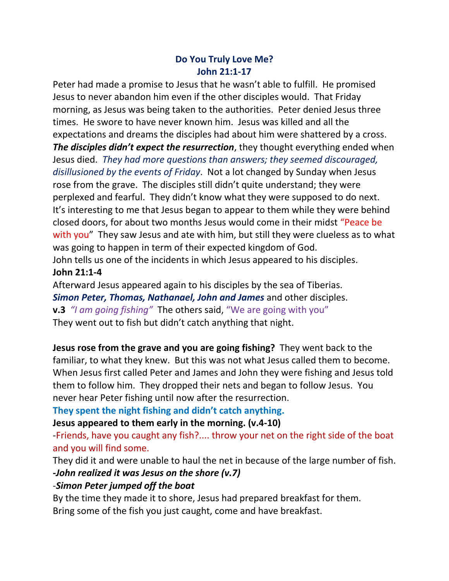## **Do You Truly Love Me? John 21:1-17**

Peter had made a promise to Jesus that he wasn't able to fulfill. He promised Jesus to never abandon him even if the other disciples would. That Friday morning, as Jesus was being taken to the authorities. Peter denied Jesus three times. He swore to have never known him. Jesus was killed and all the expectations and dreams the disciples had about him were shattered by a cross. *The disciples didn't expect the resurrection*, they thought everything ended when Jesus died. *They had more questions than answers; they seemed discouraged, disillusioned by the events of Friday*. Not a lot changed by Sunday when Jesus rose from the grave. The disciples still didn't quite understand; they were perplexed and fearful. They didn't know what they were supposed to do next. It's interesting to me that Jesus began to appear to them while they were behind closed doors, for about two months Jesus would come in their midst "Peace be with you" They saw Jesus and ate with him, but still they were clueless as to what was going to happen in term of their expected kingdom of God. John tells us one of the incidents in which Jesus appeared to his disciples.

## **John 21:1-4**

Afterward Jesus appeared again to his disciples by the sea of Tiberias.

*Simon Peter, Thomas, Nathanael, John and James* and other disciples.

**v.3** *"I am going fishing"* The others said, "We are going with you" They went out to fish but didn't catch anything that night.

**Jesus rose from the grave and you are going fishing?** They went back to the familiar, to what they knew. But this was not what Jesus called them to become. When Jesus first called Peter and James and John they were fishing and Jesus told them to follow him. They dropped their nets and began to follow Jesus. You never hear Peter fishing until now after the resurrection.

**They spent the night fishing and didn't catch anything.**

#### **Jesus appeared to them early in the morning. (v.4-10)**

-Friends, have you caught any fish?.... throw your net on the right side of the boat and you will find some.

They did it and were unable to haul the net in because of the large number of fish. *-John realized it was Jesus on the shore (v.7)*

# -*Simon Peter jumped off the boat*

By the time they made it to shore, Jesus had prepared breakfast for them. Bring some of the fish you just caught, come and have breakfast.